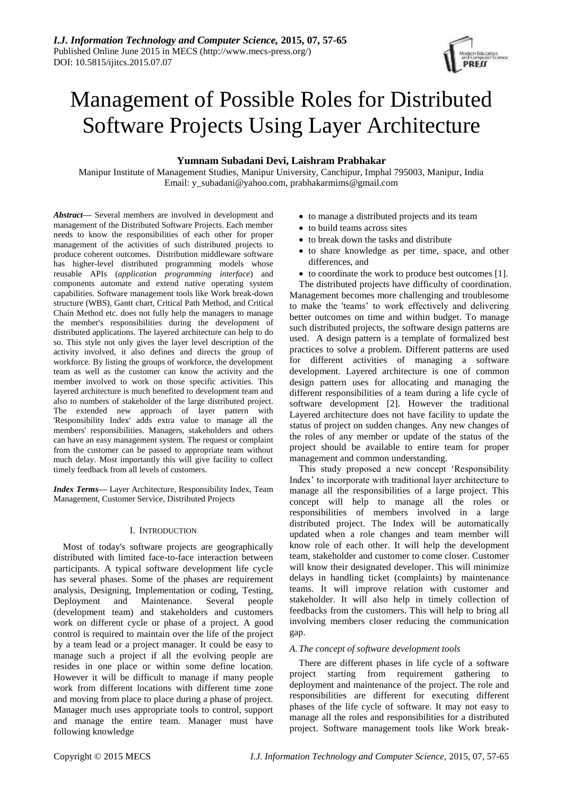

# Management of Possible Roles for Distributed Software Projects Using Layer Architecture

## **Yumnam Subadani Devi, Laishram Prabhakar**

Manipur Institute of Management Studies, Manipur University, Canchipur, Imphal 795003, Manipur, India Email: y\_subadani@yahoo.com, prabhakarmims@gmail.com

*Abstract***—** Several members are involved in development and management of the Distributed Software Projects. Each member needs to know the responsibilities of each other for proper management of the activities of such distributed projects to produce coherent outcomes. Distribution middleware software has higher-level distributed programming models whose reusable APIs (*application programming interface*) and components automate and extend native operating system capabilities. Software management tools like Work break-down structure (WBS), Gantt chart, Critical Path Method, and Critical Chain Method etc. does not fully help the managers to manage the member's responsibilities during the development of distributed applications. The layered architecture can help to do so. This style not only gives the layer level description of the activity involved, it also defines and directs the group of workforce. By listing the groups of workforce, the development team as well as the customer can know the activity and the member involved to work on those specific activities. This layered architecture is much benefited to development team and also to numbers of stakeholder of the large distributed project. The extended new approach of layer pattern with 'Responsibility Index' adds extra value to manage all the members' responsibilities. Managers, stakeholders and others can have an easy management system. The request or complaint from the customer can be passed to appropriate team without much delay. Most importantly this will give facility to collect timely feedback from all levels of customers.

*Index Terms***—** Layer Architecture, Responsibility Index, Team Management, Customer Service, Distributed Projects

## I. INTRODUCTION

Most of today's software projects are geographically distributed with limited face-to-face interaction between participants. A typical software development life cycle has several phases. Some of the phases are requirement analysis, Designing, Implementation or coding, Testing, Deployment and Maintenance. Several people (development team) and stakeholders and customers work on different cycle or phase of a project. A good control is required to maintain over the life of the project by a team lead or a project manager. It could be easy to manage such a project if all the evolving people are resides in one place or within some define location. However it will be difficult to manage if many people work from different locations with different time zone and moving from place to place during a phase of project. Manager much uses appropriate tools to control, support and manage the entire team. Manager must have following knowledge

- to manage a distributed projects and its team
- to build teams across sites
- to break down the tasks and distribute
- to share knowledge as per time, space, and other differences, and
- to coordinate the work to produce best outcomes [1].

The distributed projects have difficulty of coordination. Management becomes more challenging and troublesome to make the 'teams' to work effectively and delivering better outcomes on time and within budget. To manage such distributed projects, the software design patterns are used. A design pattern is a template of formalized best practices to solve a problem. Different patterns are used for different activities of managing a software development. Layered architecture is one of common design pattern uses for allocating and managing the different responsibilities of a team during a life cycle of software development [2]. However the traditional Layered architecture does not have facility to update the status of project on sudden changes. Any new changes of the roles of any member or update of the status of the project should be available to entire team for proper management and common understanding.

This study proposed a new concept 'Responsibility Index' to incorporate with traditional layer architecture to manage all the responsibilities of a large project. This concept will help to manage all the roles or responsibilities of members involved in a large distributed project. The Index will be automatically updated when a role changes and team member will know role of each other. It will help the development team, stakeholder and customer to come closer. Customer will know their designated developer. This will minimize delays in handling ticket (complaints) by maintenance teams. It will improve relation with customer and stakeholder. It will also help in timely collection of feedbacks from the customers. This will help to bring all involving members closer reducing the communication gap.

## *A.The concept of software development tools*

There are different phases in life cycle of a software project starting from requirement gathering to deployment and maintenance of the project. The role and responsibilities are different for executing different phases of the life cycle of software. It may not easy to manage all the roles and responsibilities for a distributed project. Software management tools like Work break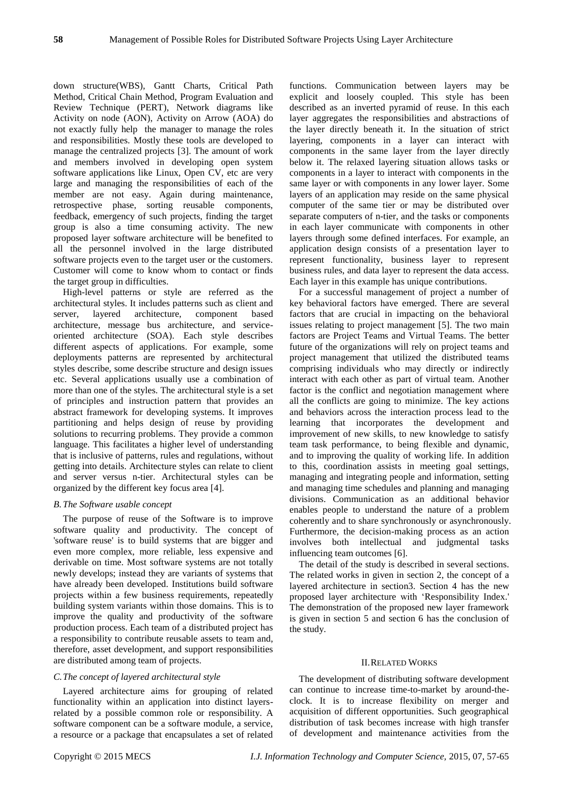down structure(WBS), Gantt Charts, Critical Path Method, Critical Chain Method, Program Evaluation and Review Technique (PERT), Network diagrams like Activity on node (AON), Activity on Arrow (AOA) do not exactly fully help the manager to manage the roles and responsibilities. Mostly these tools are developed to manage the centralized projects [3]. The amount of work and members involved in developing open system software applications like Linux, Open CV, etc are very large and managing the responsibilities of each of the member are not easy. Again during maintenance, retrospective phase, sorting reusable components, feedback, emergency of such projects, finding the target group is also a time consuming activity. The new proposed layer software architecture will be benefited to all the personnel involved in the large distributed software projects even to the target user or the customers. Customer will come to know whom to contact or finds the target group in difficulties.

High-level patterns or style are referred as the architectural styles. It includes patterns such as client and server, layered architecture, component based architecture, message bus architecture, and serviceoriented architecture (SOA). Each style describes different aspects of applications. For example, some deployments patterns are represented by architectural styles describe, some describe structure and design issues etc. Several applications usually use a combination of more than one of the styles. The architectural style is a set of principles and instruction pattern that provides an abstract framework for developing systems. It improves partitioning and helps design of reuse by providing solutions to recurring problems. They provide a common language. This facilitates a higher level of understanding that is inclusive of patterns, rules and regulations, without getting into details. Architecture styles can relate to client and server versus n-tier. Architectural styles can be organized by the different key focus area [4].

## *B.The Software usable concept*

The purpose of reuse of the Software is to improve software quality and productivity. The concept of 'software reuse' is to build systems that are bigger and even more complex, more reliable, less expensive and derivable on time. Most software systems are not totally newly develops; instead they are variants of systems that have already been developed. Institutions build software projects within a few business requirements, repeatedly building system variants within those domains. This is to improve the quality and productivity of the software production process. Each team of a distributed project has a responsibility to contribute reusable assets to team and, therefore, asset development, and support responsibilities are distributed among team of projects.

## *C.The concept of layered architectural style*

Layered architecture aims for grouping of related functionality within an application into distinct layersrelated by a possible common role or responsibility. A software component can be a software module, a service, a resource or a package that encapsulates a set of related functions. Communication between layers may be explicit and loosely coupled. This style has been described as an inverted pyramid of reuse. In this each layer aggregates the responsibilities and abstractions of the layer directly beneath it. In the situation of strict layering, components in a layer can interact with components in the same layer from the layer directly below it. The relaxed layering situation allows tasks or components in a layer to interact with components in the same layer or with components in any lower layer. Some layers of an application may reside on the same physical computer of the same tier or may be distributed over separate computers of n-tier, and the tasks or components in each layer communicate with components in other layers through some defined interfaces. For example, an application design consists of a presentation layer to represent functionality, business layer to represent business rules, and data layer to represent the data access. Each layer in this example has unique contributions.

For a successful management of project a number of key behavioral factors have emerged. There are several factors that are crucial in impacting on the behavioral issues relating to project management [5]. The two main factors are Project Teams and Virtual Teams. The better future of the organizations will rely on project teams and project management that utilized the distributed teams comprising individuals who may directly or indirectly interact with each other as part of virtual team. Another factor is the conflict and negotiation management where all the conflicts are going to minimize. The key actions and behaviors across the interaction process lead to the learning that incorporates the development and improvement of new skills, to new knowledge to satisfy team task performance, to being flexible and dynamic, and to improving the quality of working life. In addition to this, coordination assists in meeting goal settings, managing and integrating people and information, setting and managing time schedules and planning and managing divisions. Communication as an additional behavior enables people to understand the nature of a problem coherently and to share synchronously or asynchronously. Furthermore, the decision-making process as an action involves both intellectual and judgmental tasks influencing team outcomes [6].

The detail of the study is described in several sections. The related works in given in section 2, the concept of a layered architecture in section3. Section 4 has the new proposed layer architecture with 'Responsibility Index.' The demonstration of the proposed new layer framework is given in section 5 and section 6 has the conclusion of the study.

#### II.RELATED WORKS

The development of distributing software development can continue to increase time-to-market by around-theclock. It is to increase flexibility on merger and acquisition of different opportunities. Such geographical distribution of task becomes increase with high transfer of development and maintenance activities from the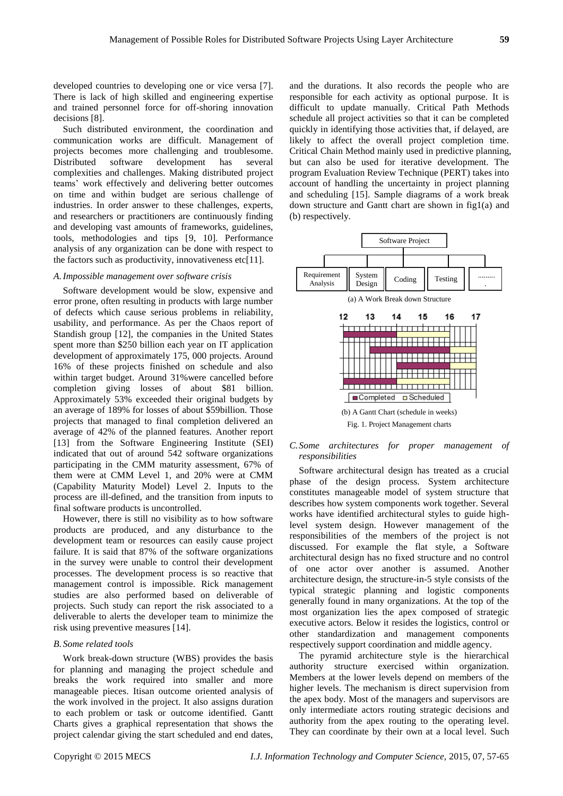developed countries to developing one or vice versa [7]. There is lack of high skilled and engineering expertise and trained personnel force for off-shoring innovation decisions [8].

Such distributed environment, the coordination and communication works are difficult. Management of projects becomes more challenging and troublesome. Distributed software development has several complexities and challenges. Making distributed project teams' work effectively and delivering better outcomes on time and within budget are serious challenge of industries. In order answer to these challenges, experts, and researchers or practitioners are continuously finding and developing vast amounts of frameworks, guidelines, tools, methodologies and tips [9, 10]. Performance analysis of any organization can be done with respect to the factors such as productivity, innovativeness etc[11].

#### *A.Impossible management over software crisis*

Software development would be slow, expensive and error prone, often resulting in products with large number of defects which cause serious problems in reliability, usability, and performance. As per the Chaos report of Standish group [12], the companies in the United States spent more than \$250 billion each year on IT application development of approximately 175, 000 projects. Around 16% of these projects finished on schedule and also within target budget. Around 31%were cancelled before completion giving losses of about \$81 billion. Approximately 53% exceeded their original budgets by an average of 189% for losses of about \$59billion. Those projects that managed to final completion delivered an average of 42% of the planned features. Another report [13] from the Software Engineering Institute (SEI) indicated that out of around 542 software organizations participating in the CMM maturity assessment, 67% of them were at CMM Level 1, and 20% were at CMM (Capability Maturity Model) Level 2. Inputs to the process are ill-defined, and the transition from inputs to final software products is uncontrolled.

However, there is still no visibility as to how software products are produced, and any disturbance to the development team or resources can easily cause project failure. It is said that 87% of the software organizations in the survey were unable to control their development processes. The development process is so reactive that management control is impossible. Rick management studies are also performed based on deliverable of projects. Such study can report the risk associated to a deliverable to alerts the developer team to minimize the risk using preventive measures [14].

#### *B. Some related tools*

Work break-down structure (WBS) provides the basis for planning and managing the project schedule and breaks the work required into smaller and more manageable pieces. Itisan outcome oriented analysis of the work involved in the project. It also assigns duration to each problem or task or outcome identified. Gantt Charts gives a graphical representation that shows the project calendar giving the start scheduled and end dates,

and the durations. It also records the people who are responsible for each activity as optional purpose. It is difficult to update manually. Critical Path Methods schedule all project activities so that it can be completed quickly in identifying those activities that, if delayed, are likely to affect the overall project completion time. Critical Chain Method mainly used in predictive planning, but can also be used for iterative development. The program Evaluation Review Technique (PERT) takes into account of handling the uncertainty in project planning and scheduling [15]. Sample diagrams of a work break down structure and Gantt chart are shown in fig1(a) and (b) respectively.



#### *C.Some architectures for proper management of responsibilities*

Software architectural design has treated as a crucial phase of the design process. System architecture constitutes manageable model of system structure that describes how system components work together. Several works have identified architectural styles to guide highlevel system design. However management of the responsibilities of the members of the project is not discussed. For example the flat style, a Software architectural design has no fixed structure and no control of one actor over another is assumed. Another architecture design, the structure-in-5 style consists of the typical strategic planning and logistic components generally found in many organizations. At the top of the most organization lies the apex composed of strategic executive actors. Below it resides the logistics, control or other standardization and management components respectively support coordination and middle agency.

The pyramid architecture style is the hierarchical authority structure exercised within organization. Members at the lower levels depend on members of the higher levels. The mechanism is direct supervision from the apex body. Most of the managers and supervisors are only intermediate actors routing strategic decisions and authority from the apex routing to the operating level. They can coordinate by their own at a local level. Such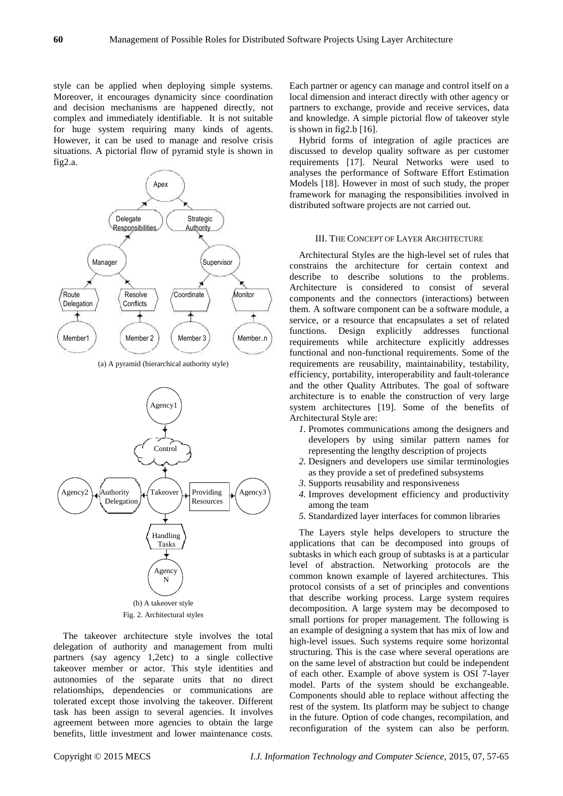style can be applied when deploying simple systems. Moreover, it encourages dynamicity since coordination and decision mechanisms are happened directly, not complex and immediately identifiable. It is not suitable for huge system requiring many kinds of agents. However, it can be used to manage and resolve crisis situations. A pictorial flow of pyramid style is shown in fig2.a.



(a) A pyramid (hierarchical authority style)



The takeover architecture style involves the total delegation of authority and management from multi partners (say agency 1,2etc) to a single collective takeover member or actor. This style identities and autonomies of the separate units that no direct relationships, dependencies or communications are tolerated except those involving the takeover. Different task has been assign to several agencies. It involves agreement between more agencies to obtain the large benefits, little investment and lower maintenance costs.

Each partner or agency can manage and control itself on a local dimension and interact directly with other agency or partners to exchange, provide and receive services, data and knowledge. A simple pictorial flow of takeover style is shown in fig2.b [16].

Hybrid forms of integration of agile practices are discussed to develop quality software as per customer requirements [17]. Neural Networks were used to analyses the performance of Software Effort Estimation Models [18]. However in most of such study, the proper framework for managing the responsibilities involved in distributed software projects are not carried out.

#### III. THE CONCEPT OF LAYER ARCHITECTURE

Architectural Styles are the high-level set of rules that constrains the architecture for certain context and describe to describe solutions to the problems. Architecture is considered to consist of several components and the connectors (interactions) between them. A software component can be a software module, a service, or a resource that encapsulates a set of related functions. Design explicitly addresses functional requirements while architecture explicitly addresses functional and non-functional requirements. Some of the requirements are reusability, maintainability, testability, efficiency, portability, interoperability and fault-tolerance and the other Quality Attributes. The goal of software architecture is to enable the construction of very large system architectures [19]. Some of the benefits of Architectural Style are:

- *1.* Promotes communications among the designers and developers by using similar pattern names for representing the lengthy description of projects
- *2.* Designers and developers use similar terminologies as they provide a set of predefined subsystems
- *3.* Supports reusability and responsiveness
- *4.* Improves development efficiency and productivity among the team
- *5.* Standardized layer interfaces for common libraries

The Layers style helps developers to structure the applications that can be decomposed into groups of subtasks in which each group of subtasks is at a particular level of abstraction. Networking protocols are the common known example of layered architectures. This protocol consists of a set of principles and conventions that describe working process. Large system requires decomposition. A large system may be decomposed to small portions for proper management. The following is an example of designing a system that has mix of low and high-level issues. Such systems require some horizontal structuring. This is the case where several operations are on the same level of abstraction but could be independent of each other. Example of above system is OSI 7-layer model. Parts of the system should be exchangeable. Components should able to replace without affecting the rest of the system. Its platform may be subject to change in the future. Option of code changes, recompilation, and reconfiguration of the system can also be perform.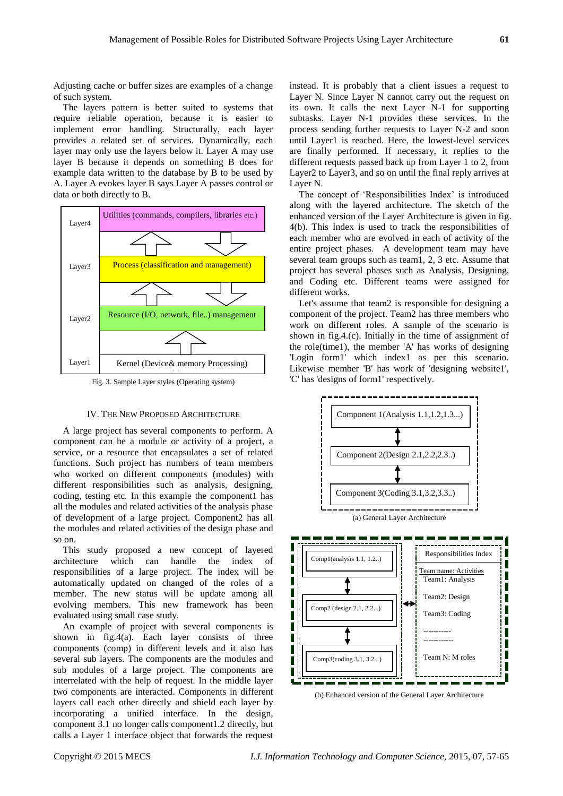Adjusting cache or buffer sizes are examples of a change of such system.

The layers pattern is better suited to systems that require reliable operation, because it is easier to implement error handling. Structurally, each layer provides a related set of services. Dynamically, each layer may only use the layers below it. Layer A may use layer B because it depends on something B does for example data written to the database by B to be used by A. Layer A evokes layer B says Layer A passes control or data or both directly to B.



Fig. 3. Sample Layer styles (Operating system)

## IV. THE NEW PROPOSED ARCHITECTURE

A large project has several components to perform. A component can be a module or activity of a project, a service, or a resource that encapsulates a set of related functions. Such project has numbers of team members who worked on different components (modules) with different responsibilities such as analysis, designing, coding, testing etc. In this example the component1 has all the modules and related activities of the analysis phase of development of a large project. Component2 has all the modules and related activities of the design phase and so on.

This study proposed a new concept of layered architecture which can handle the index of responsibilities of a large project. The index will be automatically updated on changed of the roles of a member. The new status will be update among all evolving members. This new framework has been evaluated using small case study.

An example of project with several components is shown in fig.4(a). Each layer consists of three components (comp) in different levels and it also has several sub layers. The components are the modules and sub modules of a large project. The components are interrelated with the help of request. In the middle layer two components are interacted. Components in different layers call each other directly and shield each layer by incorporating a unified interface. In the design, component 3.1 no longer calls component1.2 directly, but calls a Layer 1 interface object that forwards the request

instead. It is probably that a client issues a request to Layer N. Since Layer N cannot carry out the request on its own. It calls the next Layer N-1 for supporting subtasks. Layer N-1 provides these services. In the process sending further requests to Layer N-2 and soon until Layer1 is reached. Here, the lowest-level services are finally performed. If necessary, it replies to the different requests passed back up from Layer 1 to 2, from Layer2 to Layer3, and so on until the final reply arrives at Layer N.

The concept of 'Responsibilities Index' is introduced along with the layered architecture. The sketch of the enhanced version of the Layer Architecture is given in fig. 4(b). This Index is used to track the responsibilities of each member who are evolved in each of activity of the entire project phases. A development team may have several team groups such as team1, 2, 3 etc. Assume that project has several phases such as Analysis, Designing, and Coding etc. Different teams were assigned for different works.

Let's assume that team2 is responsible for designing a component of the project. Team2 has three members who work on different roles. A sample of the scenario is shown in fig.4.(c). Initially in the time of assignment of the role(time1), the member 'A' has works of designing 'Login form1' which index1 as per this scenario. Likewise member 'B' has work of 'designing website1', 'C' has 'designs of form1' respectively.



(b) Enhanced version of the General Layer Architecture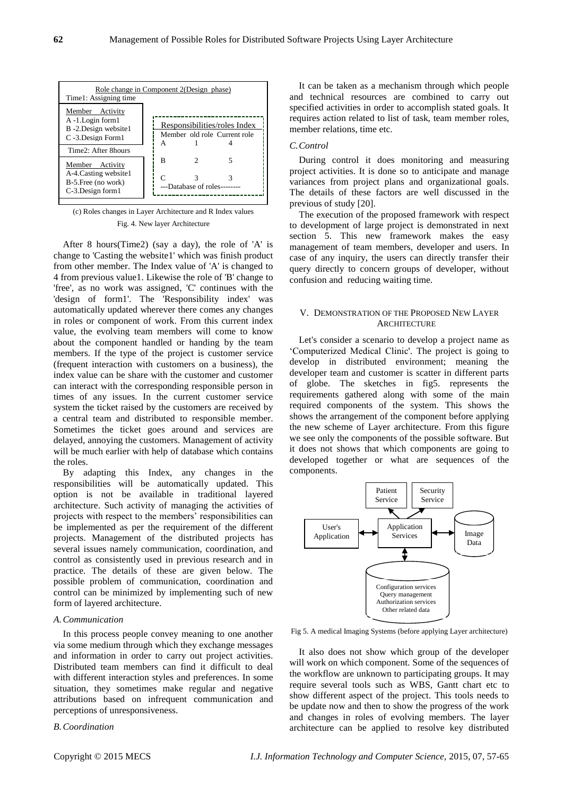

(c) Roles changes in Layer Architecture and R Index values Fig. 4. New layer Architecture

After 8 hours(Time2) (say a day), the role of 'A' is change to 'Casting the website1' which was finish product from other member. The Index value of 'A' is changed to 4 from previous value1. Likewise the role of 'B' change to 'free', as no work was assigned, 'C' continues with the 'design of form1'. The 'Responsibility index' was automatically updated wherever there comes any changes in roles or component of work. From this current index value, the evolving team members will come to know about the component handled or handing by the team members. If the type of the project is customer service (frequent interaction with customers on a business), the index value can be share with the customer and customer can interact with the corresponding responsible person in times of any issues. In the current customer service system the ticket raised by the customers are received by a central team and distributed to responsible member. Sometimes the ticket goes around and services are delayed, annoying the customers. Management of activity will be much earlier with help of database which contains the roles.

By adapting this Index, any changes in the responsibilities will be automatically updated. This option is not be available in traditional layered architecture. Such activity of managing the activities of projects with respect to the members' responsibilities can be implemented as per the requirement of the different projects. Management of the distributed projects has several issues namely communication, coordination, and control as consistently used in previous research and in practice. The details of these are given below. The possible problem of communication, coordination and control can be minimized by implementing such of new form of layered architecture.

#### *A.Communication*

In this process people convey meaning to one another via some medium through which they exchange messages and information in order to carry out project activities. Distributed team members can find it difficult to deal with different interaction styles and preferences. In some situation, they sometimes make regular and negative attributions based on infrequent communication and perceptions of unresponsiveness.

*B.Coordination*

It can be taken as a mechanism through which people and technical resources are combined to carry out specified activities in order to accomplish stated goals. It requires action related to list of task, team member roles, member relations, time etc.

## *C.Control*

During control it does monitoring and measuring project activities. It is done so to anticipate and manage variances from project plans and organizational goals. The details of these factors are well discussed in the previous of study [20].

The execution of the proposed framework with respect to development of large project is demonstrated in next section 5. This new framework makes the easy management of team members, developer and users. In case of any inquiry, the users can directly transfer their query directly to concern groups of developer, without confusion and reducing waiting time.

#### V. DEMONSTRATION OF THE PROPOSED NEW LAYER **ARCHITECTURE**

Let's consider a scenario to develop a project name as 'Computerized Medical Clinic'. The project is going to develop in distributed environment; meaning the developer team and customer is scatter in different parts of globe. The sketches in fig5. represents the requirements gathered along with some of the main required components of the system. This shows the shows the arrangement of the component before applying the new scheme of Layer architecture. From this figure we see only the components of the possible software. But it does not shows that which components are going to developed together or what are sequences of the components.



Fig 5. A medical Imaging Systems (before applying Layer architecture)

It also does not show which group of the developer will work on which component. Some of the sequences of the workflow are unknown to participating groups. It may require several tools such as WBS, Gantt chart etc to show different aspect of the project. This tools needs to be update now and then to show the progress of the work and changes in roles of evolving members. The layer architecture can be applied to resolve key distributed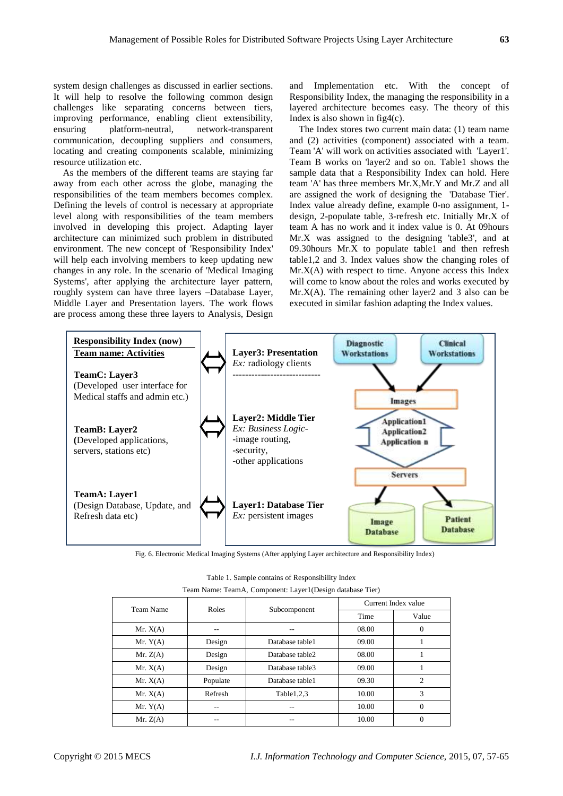system design challenges as discussed in earlier sections. It will help to resolve the following common design challenges like separating concerns between tiers, improving performance, enabling client extensibility,<br>ensuring platform-neutral, network-transparent ensuring platform-neutral, network-transparent communication, decoupling suppliers and consumers, locating and creating components scalable, minimizing resource utilization etc.

As the members of the different teams are staying far away from each other across the globe, managing the responsibilities of the team members becomes complex. Defining the levels of control is necessary at appropriate level along with responsibilities of the team members involved in developing this project. Adapting layer architecture can minimized such problem in distributed environment. The new concept of 'Responsibility Index' will help each involving members to keep updating new changes in any role. In the scenario of 'Medical Imaging Systems', after applying the architecture layer pattern, roughly system can have three layers –Database Layer, Middle Layer and Presentation layers. The work flows are process among these three layers to Analysis, Design

and Implementation etc. With the concept of Responsibility Index, the managing the responsibility in a layered architecture becomes easy. The theory of this Index is also shown in fig4(c).

The Index stores two current main data: (1) team name and (2) activities (component) associated with a team. Team 'A' will work on activities associated with 'Layer1'. Team B works on 'layer2 and so on. Table1 shows the sample data that a Responsibility Index can hold. Here team 'A' has three members Mr.X,Mr.Y and Mr.Z and all are assigned the work of designing the 'Database Tier'. Index value already define, example 0-no assignment, 1 design, 2-populate table, 3-refresh etc. Initially Mr.X of team A has no work and it index value is 0. At 09hours Mr.X was assigned to the designing 'table3', and at 09.30hours Mr.X to populate table1 and then refresh table1,2 and 3. Index values show the changing roles of  $Mr. X(A)$  with respect to time. Anyone access this Index will come to know about the roles and works executed by  $Mr. X(A)$ . The remaining other layer 2 and 3 also can be executed in similar fashion adapting the Index values.



Fig. 6. Electronic Medical Imaging Systems (After applying Layer architecture and Responsibility Index)

| Team Name  | Roles    |                 | Current Index value |                |
|------------|----------|-----------------|---------------------|----------------|
|            |          | Subcomponent    | Time                | Value          |
| Mr. $X(A)$ |          |                 | 08.00               | 0              |
| Mr. $Y(A)$ | Design   | Database table1 | 09.00               |                |
| Mr. $Z(A)$ | Design   | Database table2 | 08.00               |                |
| Mr. $X(A)$ | Design   | Database table3 | 09.00               |                |
| Mr. $X(A)$ | Populate | Database table1 | 09.30               | $\overline{c}$ |
| Mr. $X(A)$ | Refresh  | Table 1,2,3     | 10.00               | 3              |
| Mr. $Y(A)$ | --       |                 | 10.00               | 0              |
| Mr. Z(A)   |          |                 | 10.00               |                |

| Team Name: TeamA, Component: Layer1(Design database Tier) |  |  |  |
|-----------------------------------------------------------|--|--|--|
|                                                           |  |  |  |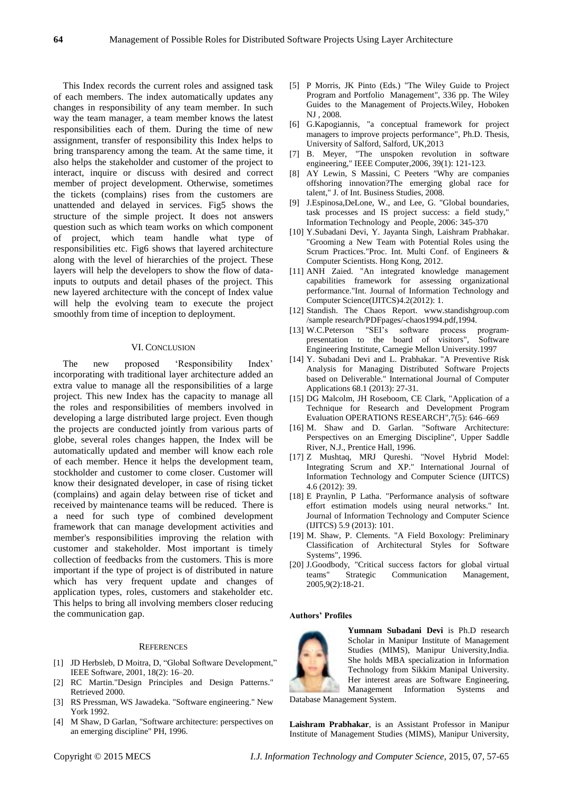This Index records the current roles and assigned task of each members. The index automatically updates any changes in responsibility of any team member. In such way the team manager, a team member knows the latest responsibilities each of them. During the time of new assignment, transfer of responsibility this Index helps to bring transparency among the team. At the same time, it also helps the stakeholder and customer of the project to interact, inquire or discuss with desired and correct member of project development. Otherwise, sometimes the tickets (complains) rises from the customers are unattended and delayed in services. Fig5 shows the structure of the simple project. It does not answers question such as which team works on which component of project, which team handle what type of responsibilities etc. Fig6 shows that layered architecture along with the level of hierarchies of the project. These layers will help the developers to show the flow of datainputs to outputs and detail phases of the project. This new layered architecture with the concept of Index value will help the evolving team to execute the project smoothly from time of inception to deployment.

#### VI. CONCLUSION

The new proposed 'Responsibility Index' incorporating with traditional layer architecture added an extra value to manage all the responsibilities of a large project. This new Index has the capacity to manage all the roles and responsibilities of members involved in developing a large distributed large project. Even though the projects are conducted jointly from various parts of globe, several roles changes happen, the Index will be automatically updated and member will know each role of each member. Hence it helps the development team, stockholder and customer to come closer. Customer will know their designated developer, in case of rising ticket (complains) and again delay between rise of ticket and received by maintenance teams will be reduced. There is a need for such type of combined development framework that can manage development activities and member's responsibilities improving the relation with customer and stakeholder. Most important is timely collection of feedbacks from the customers. This is more important if the type of project is of distributed in nature which has very frequent update and changes of application types, roles, customers and stakeholder etc. This helps to bring all involving members closer reducing the communication gap.

#### **REFERENCES**

- [1] JD Herbsleb, D Moitra, D, "Global Software Development," IEEE Software, 2001, 18(2): 16–20.
- [2] RC Martin."Design Principles and Design Patterns." Retrieved 2000.
- [3] RS Pressman, WS Jawadeka. "Software engineering." New York 1992.
- [4] M Shaw, D Garlan, "Software architecture: perspectives on an emerging discipline" PH, 1996.
- [5] P Morris, JK Pinto (Eds.) "The Wiley Guide to Project Program and Portfolio Management", 336 pp. The Wiley Guides to the Management of Projects.Wiley, Hoboken NJ , 2008.
- [6] G.Kapogiannis, "a conceptual framework for project managers to improve projects performance", Ph.D. Thesis, University of Salford, Salford, UK,2013
- [7] B. Meyer, "The unspoken revolution in software engineering," IEEE Computer,2006, 39(1): 121-123.
- [8] AY Lewin, S Massini, C Peeters "Why are companies offshoring innovation?The emerging global race for talent," J. of Int. Business Studies, 2008.
- [9] J.Espinosa,DeLone, W., and Lee, G. "Global boundaries, task processes and IS project success: a field study," Information Technology and People, 2006: 345-370
- [10] Y.Subadani Devi, Y. Jayanta Singh, Laishram Prabhakar. "Grooming a New Team with Potential Roles using the Scrum Practices."Proc. Int. Multi Conf. of Engineers & Computer Scientists. Hong Kong, 2012.
- [11] ANH Zaied. "An integrated knowledge management capabilities framework for assessing organizational performance."Int. Journal of Information Technology and Computer Science(IJITCS)4.2(2012): 1.
- [12] Standish. The Chaos Report. www.standishgroup.com /sample research/PDFpages/-chaos1994.pdf,1994.
- [13] W.C.Peterson "SEI's software process programpresentation to the board of visitors", Software Engineering Institute, Carnegie Mellon University.1997
- [14] Y. Subadani Devi and L. Prabhakar. "A Preventive Risk Analysis for Managing Distributed Software Projects based on Deliverable." International Journal of Computer Applications 68.1 (2013): 27-31.
- [15] DG Malcolm, JH Roseboom, CE Clark, "Application of a Technique for Research and Development Program Evaluation OPERATIONS RESEARCH",7(5): 646–669
- [16] M. Shaw and D. Garlan. "Software Architecture: Perspectives on an Emerging Discipline", Upper Saddle River, N.J., Prentice Hall, 1996.
- [17] Z Mushtaq, MRJ Qureshi. "Novel Hybrid Model: Integrating Scrum and XP." International Journal of Information Technology and Computer Science (IJITCS) 4.6 (2012): 39.
- [18] E Praynlin, P Latha. "Performance analysis of software effort estimation models using neural networks." Int. Journal of Information Technology and Computer Science (IJITCS) 5.9 (2013): 101.
- [19] M. Shaw, P. Clements. "A Field Boxology: Preliminary Classification of Architectural Styles for Software Systems", 1996.
- [20] J.Goodbody, "Critical success factors for global virtual teams" Strategic Communication Management, 2005,9(2):18-21.

#### **Authors' Profiles**



**Yumnam Subadani Devi** is Ph.D research Scholar in Manipur Institute of Management Studies (MIMS), Manipur University,India. She holds MBA specialization in Information Technology from Sikkim Manipal University. Her interest areas are Software Engineering, Management Information Systems and

Database Management System.

**Laishram Prabhakar**, is an Assistant Professor in Manipur Institute of Management Studies (MIMS), Manipur University,